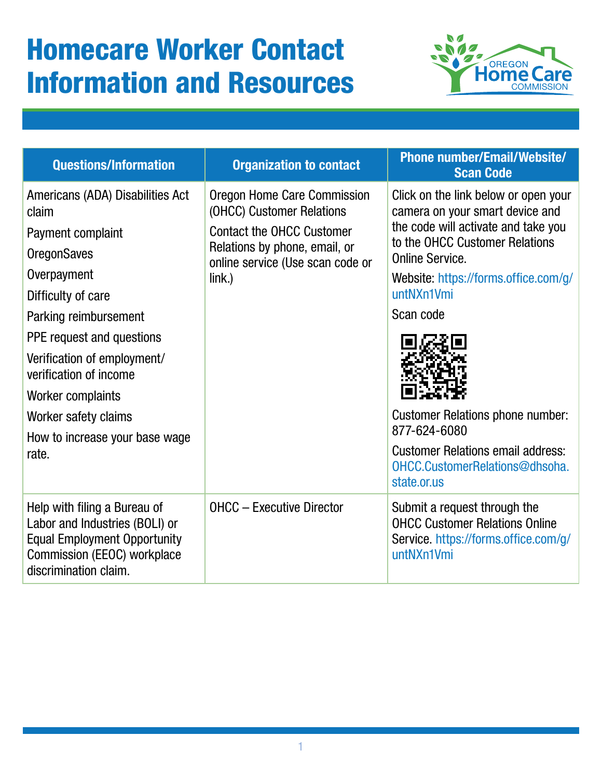## Homecare Worker Contact Information and Resources



| <b>Questions/Information</b>                                                                                                                                                                                                             | <b>Organization to contact</b>                                                                                                                                                 | <b>Phone number/Email/Website/</b><br><b>Scan Code</b>                                                                                                                                                                                       |
|------------------------------------------------------------------------------------------------------------------------------------------------------------------------------------------------------------------------------------------|--------------------------------------------------------------------------------------------------------------------------------------------------------------------------------|----------------------------------------------------------------------------------------------------------------------------------------------------------------------------------------------------------------------------------------------|
| Americans (ADA) Disabilities Act<br>claim<br>Payment complaint<br><b>OregonSaves</b><br>Overpayment<br>Difficulty of care<br>Parking reimbursement<br>PPE request and questions<br>Verification of employment/<br>verification of income | Oregon Home Care Commission<br>(OHCC) Customer Relations<br><b>Contact the OHCC Customer</b><br>Relations by phone, email, or<br>online service (Use scan code or<br>$link.$ ) | Click on the link below or open your<br>camera on your smart device and<br>the code will activate and take you<br>to the OHCC Customer Relations<br><b>Online Service</b><br>Website: https://forms.office.com/g/<br>untNXn1Vmi<br>Scan code |
| Worker complaints<br>Worker safety claims<br>How to increase your base wage<br>rate.                                                                                                                                                     |                                                                                                                                                                                | <b>Customer Relations phone number:</b><br>877-624-6080<br><b>Customer Relations email address:</b><br>OHCC.CustomerRelations@dhsoha.<br>state.or.us                                                                                         |
| Help with filing a Bureau of<br>Labor and Industries (BOLI) or<br><b>Equal Employment Opportunity</b><br>Commission (EEOC) workplace<br>discrimination claim.                                                                            | <b>OHCC - Executive Director</b>                                                                                                                                               | Submit a request through the<br><b>OHCC Customer Relations Online</b><br>Service. https://forms.office.com/g/<br>untNXn1Vmi                                                                                                                  |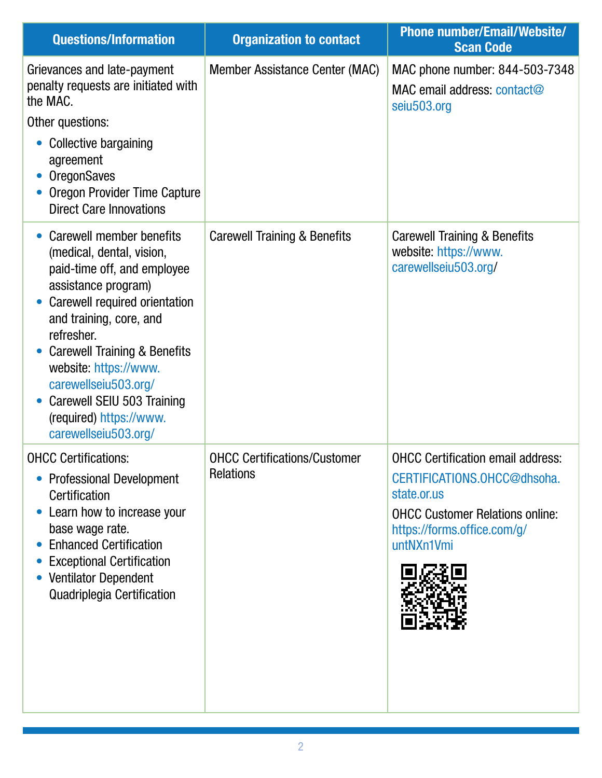| <b>Questions/Information</b>                                                                                                                                                                                                                                                                                                                                       | <b>Organization to contact</b>                          | <b>Phone number/Email/Website/</b><br><b>Scan Code</b>                                                                                                                        |
|--------------------------------------------------------------------------------------------------------------------------------------------------------------------------------------------------------------------------------------------------------------------------------------------------------------------------------------------------------------------|---------------------------------------------------------|-------------------------------------------------------------------------------------------------------------------------------------------------------------------------------|
| Grievances and late-payment<br>penalty requests are initiated with<br>the MAC.<br>Other questions:<br>Collective bargaining<br>agreement<br><b>OregonSaves</b><br><b>Oregon Provider Time Capture</b><br><b>Direct Care Innovations</b>                                                                                                                            | Member Assistance Center (MAC)                          | MAC phone number: 844-503-7348<br>MAC email address: contact@<br>seiu503.org                                                                                                  |
| Carewell member benefits<br>(medical, dental, vision,<br>paid-time off, and employee<br>assistance program)<br>Carewell required orientation<br>and training, core, and<br>refresher.<br><b>Carewell Training &amp; Benefits</b><br>website: https://www.<br>carewellseiu503.org/<br>Carewell SEIU 503 Training<br>(required) https://www.<br>carewellseiu503.org/ | <b>Carewell Training &amp; Benefits</b>                 | <b>Carewell Training &amp; Benefits</b><br>website: https://www.<br>carewellseiu503.org/                                                                                      |
| <b>OHCC Certifications:</b><br><b>Professional Development</b><br>Certification<br>Learn how to increase your<br>base wage rate.<br><b>Enhanced Certification</b><br><b>Exceptional Certification</b><br><b>Ventilator Dependent</b><br><b>Quadriplegia Certification</b>                                                                                          | <b>OHCC Certifications/Customer</b><br><b>Relations</b> | <b>OHCC Certification email address:</b><br>CERTIFICATIONS.OHCC@dhsoha.<br>state.or.us<br><b>OHCC Customer Relations online:</b><br>https://forms.office.com/g/<br>untNXn1Vmi |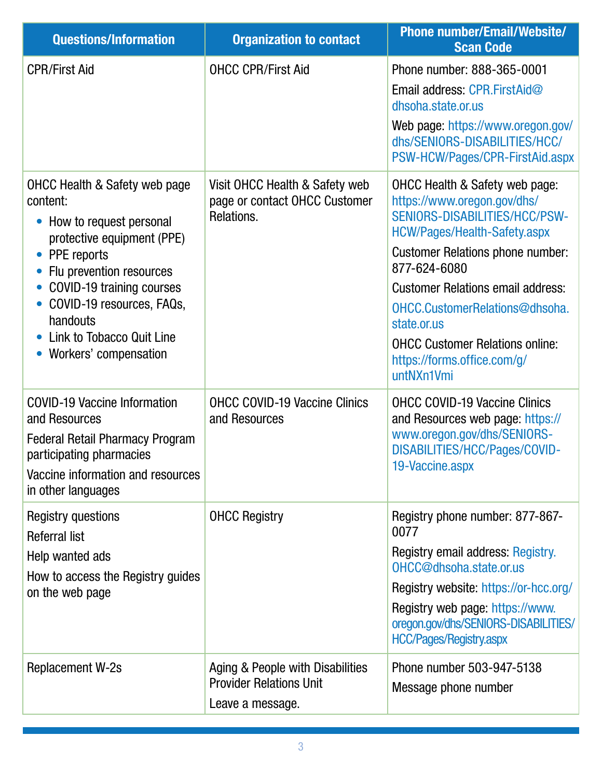| <b>Questions/Information</b>                                                                                                                                                                                                                                                                      | <b>Organization to contact</b>                                                         | <b>Phone number/Email/Website/</b><br><b>Scan Code</b>                                                                                                                                                                                                                                                                                                                        |
|---------------------------------------------------------------------------------------------------------------------------------------------------------------------------------------------------------------------------------------------------------------------------------------------------|----------------------------------------------------------------------------------------|-------------------------------------------------------------------------------------------------------------------------------------------------------------------------------------------------------------------------------------------------------------------------------------------------------------------------------------------------------------------------------|
| <b>CPR/First Aid</b>                                                                                                                                                                                                                                                                              | <b>OHCC CPR/First Aid</b>                                                              | Phone number: 888-365-0001<br>Email address: CPR.FirstAid@<br>dhsoha.state.or.us<br>Web page: https://www.oregon.gov/<br>dhs/SENIORS-DISABILITIES/HCC/<br>PSW-HCW/Pages/CPR-FirstAid.aspx                                                                                                                                                                                     |
| <b>OHCC Health &amp; Safety web page</b><br>content:<br>How to request personal<br>$\bullet$<br>protective equipment (PPE)<br>PPE reports<br>Flu prevention resources<br>COVID-19 training courses<br>COVID-19 resources, FAQs,<br>handouts<br>Link to Tobacco Quit Line<br>Workers' compensation | Visit OHCC Health & Safety web<br>page or contact OHCC Customer<br>Relations.          | OHCC Health & Safety web page:<br>https://www.oregon.gov/dhs/<br>SENIORS-DISABILITIES/HCC/PSW-<br>HCW/Pages/Health-Safety.aspx<br><b>Customer Relations phone number:</b><br>877-624-6080<br><b>Customer Relations email address:</b><br>OHCC.CustomerRelations@dhsoha.<br>state.or.us<br><b>OHCC Customer Relations online:</b><br>https://forms.office.com/g/<br>untNXn1Vmi |
| <b>COVID-19 Vaccine Information</b><br>and Resources<br><b>Federal Retail Pharmacy Program</b><br>participating pharmacies<br>Vaccine information and resources<br>in other languages                                                                                                             | <b>OHCC COVID-19 Vaccine Clinics</b><br>and Resources                                  | <b>OHCC COVID-19 Vaccine Clinics</b><br>and Resources web page: https://<br>www.oregon.gov/dhs/SENIORS-<br>DISABILITIES/HCC/Pages/COVID-<br>19-Vaccine.aspx                                                                                                                                                                                                                   |
| <b>Registry questions</b><br><b>Referral list</b><br>Help wanted ads<br>How to access the Registry guides<br>on the web page                                                                                                                                                                      | <b>OHCC Registry</b>                                                                   | Registry phone number: 877-867-<br>0077<br>Registry email address: Registry.<br>OHCC@dhsoha.state.or.us<br>Registry website: https://or-hcc.org/<br>Registry web page: https://www.<br>oregon.gov/dhs/SENIORS-DISABILITIES/<br><b>HCC/Pages/Registry.aspx</b>                                                                                                                 |
| <b>Replacement W-2s</b>                                                                                                                                                                                                                                                                           | Aging & People with Disabilities<br><b>Provider Relations Unit</b><br>Leave a message. | Phone number 503-947-5138<br>Message phone number                                                                                                                                                                                                                                                                                                                             |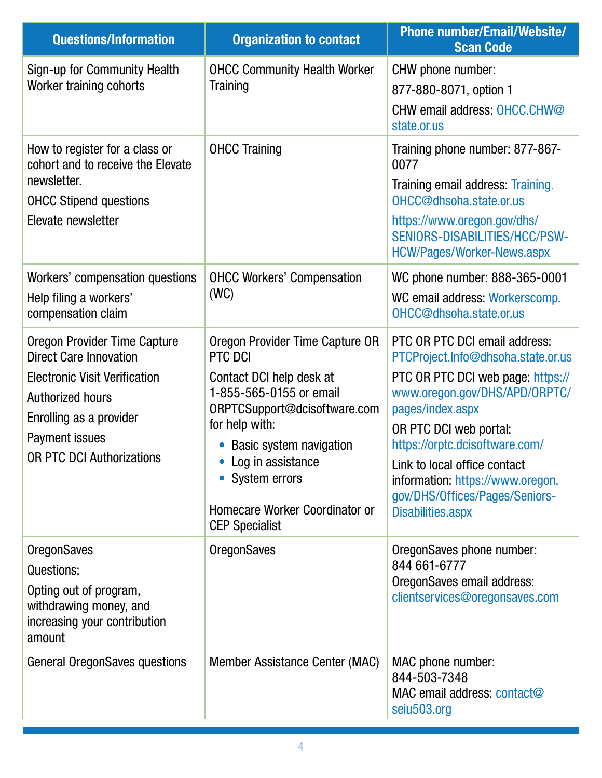| <b>Questions/Information</b>                                                                                                                                                                                      | <b>Organization to contact</b>                                                                                                                                                                                                                                                             | <b>Phone number/Email/Website/</b><br><b>Scan Code</b>                                                                                                                                                                                                                                                                                                      |
|-------------------------------------------------------------------------------------------------------------------------------------------------------------------------------------------------------------------|--------------------------------------------------------------------------------------------------------------------------------------------------------------------------------------------------------------------------------------------------------------------------------------------|-------------------------------------------------------------------------------------------------------------------------------------------------------------------------------------------------------------------------------------------------------------------------------------------------------------------------------------------------------------|
| Sign-up for Community Health<br>Worker training cohorts                                                                                                                                                           | <b>OHCC Community Health Worker</b><br>Training                                                                                                                                                                                                                                            | CHW phone number:<br>877-880-8071, option 1<br>CHW email address: OHCC.CHW@<br>state.or.us                                                                                                                                                                                                                                                                  |
| How to register for a class or<br>cohort and to receive the Elevate<br>newsletter.<br><b>OHCC Stipend questions</b><br>Elevate newsletter                                                                         | <b>OHCC Training</b>                                                                                                                                                                                                                                                                       | Training phone number: 877-867-<br>0077<br>Training email address: Training.<br>OHCC@dhsoha.state.or.us<br>https://www.oregon.gov/dhs/<br>SENIORS-DISABILITIES/HCC/PSW-<br><b>HCW/Pages/Worker-News.aspx</b>                                                                                                                                                |
| Workers' compensation questions<br>Help filing a workers'<br>compensation claim                                                                                                                                   | <b>OHCC Workers' Compensation</b><br>(WC)                                                                                                                                                                                                                                                  | WC phone number: 888-365-0001<br>WC email address: Workerscomp.<br>OHCC@dhsoha.state.or.us                                                                                                                                                                                                                                                                  |
| <b>Oregon Provider Time Capture</b><br><b>Direct Care Innovation</b><br><b>Electronic Visit Verification</b><br>Authorized hours<br>Enrolling as a provider<br>Payment issues<br><b>OR PTC DCI Authorizations</b> | Oregon Provider Time Capture OR<br>PTC DCI<br>Contact DCI help desk at<br>1-855-565-0155 or email<br>ORPTCSupport@dcisoftware.com<br>for help with:<br><b>Basic system navigation</b><br>• Log in assistance<br>• System errors<br>Homecare Worker Coordinator or<br><b>CEP Specialist</b> | PTC OR PTC DCI email address:<br>PTCProject.Info@dhsoha.state.or.us<br>PTC OR PTC DCI web page: https://<br>www.oregon.gov/DHS/APD/ORPTC/<br>pages/index.aspx<br>OR PTC DCI web portal:<br>https://orptc.dcisoftware.com/<br>Link to local office contact<br>information: https://www.oregon.<br>gov/DHS/Offices/Pages/Seniors-<br><b>Disabilities.aspx</b> |
| <b>OregonSaves</b><br>Questions:<br>Opting out of program,<br>withdrawing money, and<br>increasing your contribution<br>amount                                                                                    | <b>OregonSaves</b>                                                                                                                                                                                                                                                                         | OregonSaves phone number:<br>844 661-6777<br>OregonSaves email address:<br>clientservices@oregonsaves.com                                                                                                                                                                                                                                                   |
| <b>General OregonSaves questions</b>                                                                                                                                                                              | Member Assistance Center (MAC)                                                                                                                                                                                                                                                             | MAC phone number:<br>844-503-7348<br>MAC email address: contact@<br>seiu503.org                                                                                                                                                                                                                                                                             |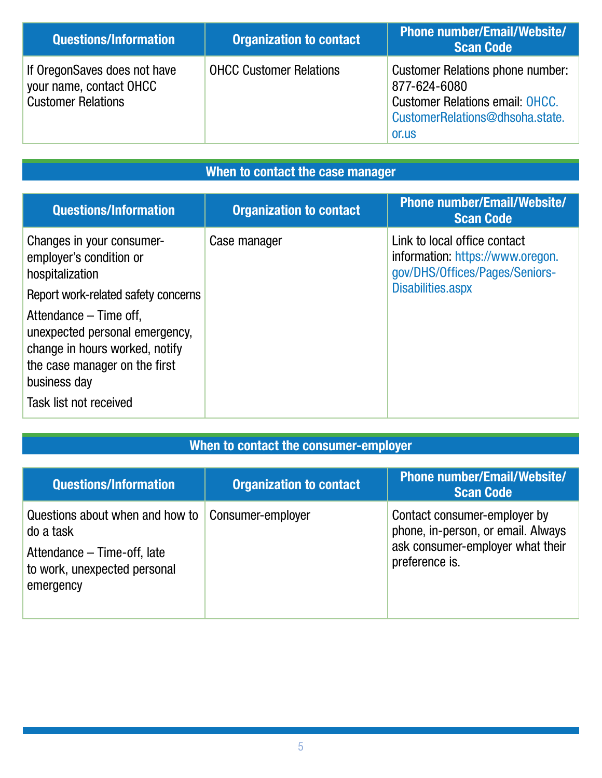| <b>Questions/Information</b>                                                         | <b>Organization to contact</b> | <b>Phone number/Email/Website/</b><br><b>Scan Code</b>                                                                                        |
|--------------------------------------------------------------------------------------|--------------------------------|-----------------------------------------------------------------------------------------------------------------------------------------------|
| If OregonSaves does not have<br>your name, contact OHCC<br><b>Customer Relations</b> | <b>OHCC Customer Relations</b> | <b>Customer Relations phone number:</b><br>877-624-6080<br><b>Customer Relations email: OHCC.</b><br>CustomerRelations@dhsoha.state.<br>or.us |

## When to contact the case manager

| <b>Questions/Information</b>                                                                                                                                          | <b>Organization to contact</b> | <b>Phone number/Email/Website/</b><br><b>Scan Code</b>                                                                  |
|-----------------------------------------------------------------------------------------------------------------------------------------------------------------------|--------------------------------|-------------------------------------------------------------------------------------------------------------------------|
| Changes in your consumer-<br>employer's condition or<br>hospitalization                                                                                               | Case manager                   | Link to local office contact<br>information: https://www.oregon.<br>gov/DHS/Offices/Pages/Seniors-<br>Disabilities.aspx |
| Report work-related safety concerns                                                                                                                                   |                                |                                                                                                                         |
| Attendance – Time off,<br>unexpected personal emergency,<br>change in hours worked, notify<br>the case manager on the first<br>business day<br>Task list not received |                                |                                                                                                                         |

## When to contact the consumer-employer

| <b>Questions/Information</b>                                                                                             | <b>Organization to contact</b> | <b>Phone number/Email/Website/</b><br><b>Scan Code</b>                                                                   |
|--------------------------------------------------------------------------------------------------------------------------|--------------------------------|--------------------------------------------------------------------------------------------------------------------------|
| Questions about when and how to<br>do a task<br>Attendance – Time-off, late<br>to work, unexpected personal<br>emergency | Consumer-employer              | Contact consumer-employer by<br>phone, in-person, or email. Always<br>ask consumer-employer what their<br>preference is. |